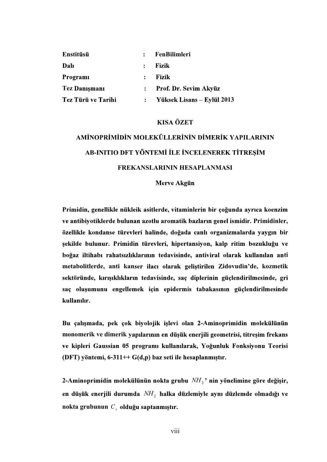| Enstitüsü            | $\mathbf{r}$   | <b>FenBilimleri</b>        |
|----------------------|----------------|----------------------------|
| Dalı                 | $\mathbf{L}$   | Fizik                      |
| Programi             | $\mathbf{r}$   | Fizik                      |
| <b>Tez Danismani</b> |                | : Prof. Dr. Sevim Akyüz    |
| Tez Türü ve Tarihi   | $\ddot{\cdot}$ | Yüksek Lisans – Eylül 2013 |

### **KISA ÖZET**

# AMİNOPRİMİDİN MOLEKÜLLERİNİN DİMERİK YAPILARININ AB-INITIO DFT YÖNTEMİ İLE İNCELENEREK TİTREŞİM FREKANSLARININ HESAPLANMASI

### Merve Akgün

Primidin, genellikle nükleik asitlerde, vitaminlerin bir çoğunda ayrıca koenzim ve antibiyotiklerde bulunan azotlu aromatik bazların genel ismidir. Primidinler, özellikle kondanse türevleri halinde, doğada canlı organizmalarda yaygın bir şekilde bulunur. Primidin türevleri, hipertansiyon, kalp ritim bozukluğu ve ti metabolitlerde, anti kanser ilacı olarak geliştirilen Zidovudin'de, kozmetik sektöründe, kırışıklıkların tedavisinde, saç diplerinin güçlendirilmesinde, gri saç oluşumunu engellemek için epidermis tabakasının güçlendirilmesinde kullanılır.

Bu çalışmada, pek çok biyolojik işlevi olan 2-Aminoprimidin molekülünün monomerik ve dimerik yapılarının en düşük enerjili geometrisi, titreşim frekans<br>ve kipleri Gaussian 05 programı kullanılarak, Yoğunluk Fonksiyonu Teorisi<br>(DFT) yöntemi, 6-311++ G(d,p) baz seti ile hesaplanmıştır.

2-Aminoprimidin molekülünün nokta grubu  $NH<sub>2</sub>$ ' nin yönelimine göre değişir, en düşük enerjili durumda  $NH<sub>2</sub>$  halka düzlemiyle aynı düzlemde olmadığı ve nokta grubunun  $C_s$  olduğu saptanmıştır.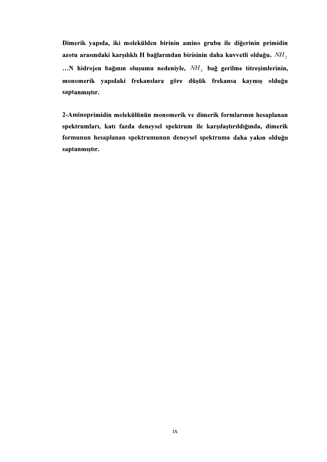Dimerik yapıda, iki molekülden birinin amino grubu ile diğerinin primidin azotu arasındaki karşılıklı H bağlarından birisinin daha kuvvetli olduğu,  $NH<sub>2</sub>$ ... N hidrojen bağının oluşumu nedeniyle,  $NH<sub>2</sub>$  bağ gerilme titreşimlerinin, monomerik yapıdaki frekanslara göre düşük frekansa kaymış olduğu saptanmıştır.

2-Aminoprimidin molekülünün monomerik ve dimerik formlarının hesaplanan spektrumları, katı fazda deneysel spektrum ile karşılaştırıldığında, dimerik formunun hesaplanan spektrumunun deneysel spektruma saptanmıştır.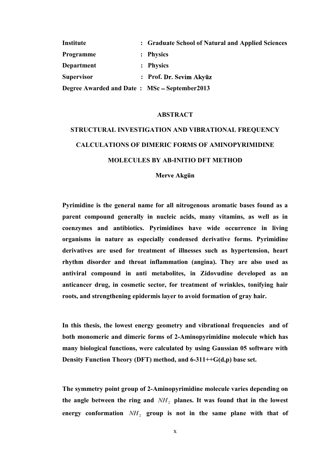| Institute                                     | : Graduate School of Natural and Applied Sciences |
|-----------------------------------------------|---------------------------------------------------|
| Programme                                     | : Physics                                         |
| Department                                    | : Physics                                         |
| <b>Supervisor</b>                             | : Prof. Dr. Sevim Akyüz                           |
| Degree Awarded and Date: MSc – September 2013 |                                                   |

#### ABSTRACT

# STRUCTURAL INVESTIGATION AND VIBRATIONAL FREQUENCY CALCULATIONS OF DIMERIC FORMS OF AMINOPYRIMIDINE MOLECULES BY AB-INITIO DFT METHOD

Merve Akgün

Pyrimidine is the general name for all nitrogenous aromatic bases found as a parent compound generally in nucleic acids, many vitamins, as well as in coenzymes and antibiotics. Pyrimidines have wide occurrence in living organisms in nature as especially condensed derivative forms. Pyrimidine derivatives are used for treatment of illnesses such as hypertension, heart rhythm disorder and throat inflammation (angina). They are also used as antiviral compound in anti metabolites, in Zidovudine developed as an anticancer drug, in cosmetic sector, for treatment of wrinkles, tonifying hair roots, and strengthening epidermis layer to avoid formation of gray hair.

In this thesis, the lowest energy geometry and vibrational frequencies and of both monomeric and dimeric forms of 2-Aminopyrimidine molecule which has many biological functions, were calculated by using Gaussian 05 software with Density Function Theory (DFT) method, and 6-311++G(d,p) base set.

The symmetry point group of 2-Aminopyrimidine molecule varies depending on the angle between the ring and  $NH<sub>2</sub>$  planes. It was found that in the lowest energy conformation  $NH<sub>2</sub>$  group is not in the same plane with that of